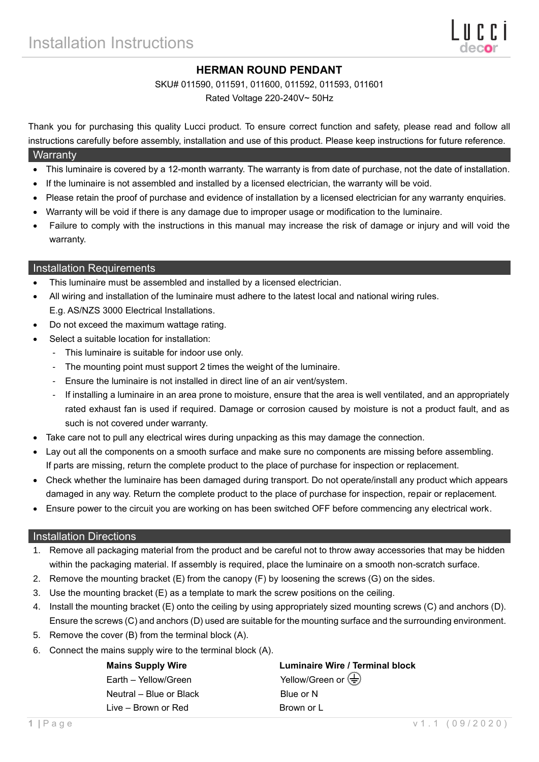## **HERMAN ROUND PENDANT**

SKU# 011590, 011591, 011600, 011592, 011593, 011601

Rated Voltage 220-240V~ 50Hz

Thank you for purchasing this quality Lucci product. To ensure correct function and safety, please read and follow all instructions carefully before assembly, installation and use of this product. Please keep instructions for future reference.

### **Warranty**

- This luminaire is covered by a 12-month warranty. The warranty is from date of purchase, not the date of installation.
- If the luminaire is not assembled and installed by a licensed electrician, the warranty will be void.
- Please retain the proof of purchase and evidence of installation by a licensed electrician for any warranty enquiries.
- Warranty will be void if there is any damage due to improper usage or modification to the luminaire.
- Failure to comply with the instructions in this manual may increase the risk of damage or injury and will void the warranty.

#### Installation Requirements

- This luminaire must be assembled and installed by a licensed electrician.
- All wiring and installation of the luminaire must adhere to the latest local and national wiring rules. E.g. AS/NZS 3000 Electrical Installations.
- Do not exceed the maximum wattage rating.
- Select a suitable location for installation:
	- This luminaire is suitable for indoor use only.
	- The mounting point must support 2 times the weight of the luminaire.
	- Ensure the luminaire is not installed in direct line of an air vent/system.
	- If installing a luminaire in an area prone to moisture, ensure that the area is well ventilated, and an appropriately rated exhaust fan is used if required. Damage or corrosion caused by moisture is not a product fault, and as such is not covered under warranty.
- Take care not to pull any electrical wires during unpacking as this may damage the connection.
- Lay out all the components on a smooth surface and make sure no components are missing before assembling. If parts are missing, return the complete product to the place of purchase for inspection or replacement.
- Check whether the luminaire has been damaged during transport. Do not operate/install any product which appears damaged in any way. Return the complete product to the place of purchase for inspection, repair or replacement.
- Ensure power to the circuit you are working on has been switched OFF before commencing any electrical work.

### Installation Directions

- 1. Remove all packaging material from the product and be careful not to throw away accessories that may be hidden within the packaging material. If assembly is required, place the luminaire on a smooth non-scratch surface.
- 2. Remove the mounting bracket (E) from the canopy (F) by loosening the screws (G) on the sides.
- 3. Use the mounting bracket (E) as a template to mark the screw positions on the ceiling.
- 4. Install the mounting bracket (E) onto the ceiling by using appropriately sized mounting screws (C) and anchors (D). Ensure the screws (C) and anchors (D) used are suitable for the mounting surface and the surrounding environment.
- 5. Remove the cover (B) from the terminal block (A).
- 6. Connect the mains supply wire to the terminal block (A).

Neutral – Blue or Black Blue or N Live – Brown or Red Brown or L

**Mains Supply Wire Luminaire Wire / Terminal block** Earth – Yellow/Green Yellow/Green or  $\left(\frac{1}{x}\right)$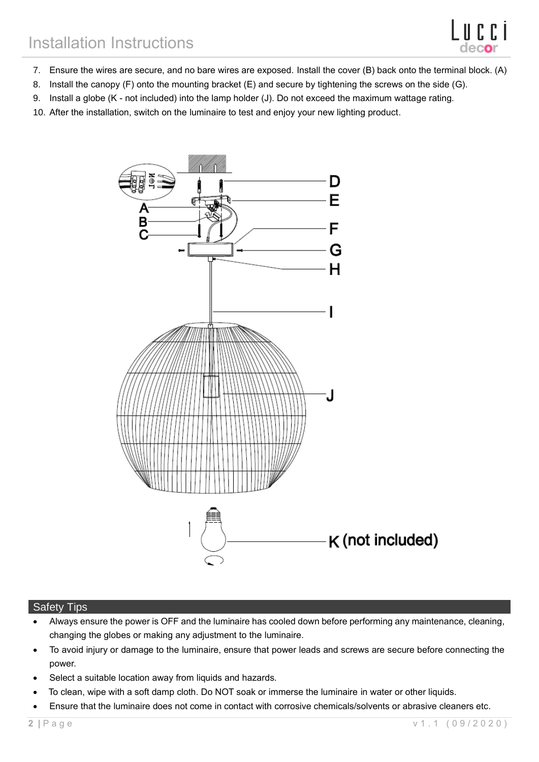

- 7. Ensure the wires are secure, and no bare wires are exposed. Install the cover (B) back onto the terminal block. (A)
- 8. Install the canopy (F) onto the mounting bracket (E) and secure by tightening the screws on the side (G).
- 9. Install a globe (K not included) into the lamp holder (J). Do not exceed the maximum wattage rating.
- 10. After the installation, switch on the luminaire to test and enjoy your new lighting product.



#### Safety Tips

- Always ensure the power is OFF and the luminaire has cooled down before performing any maintenance, cleaning, changing the globes or making any adjustment to the luminaire.
- To avoid injury or damage to the luminaire, ensure that power leads and screws are secure before connecting the power.
- Select a suitable location away from liquids and hazards.
- To clean, wipe with a soft damp cloth. Do NOT soak or immerse the luminaire in water or other liquids.
- Ensure that the luminaire does not come in contact with corrosive chemicals/solvents or abrasive cleaners etc.